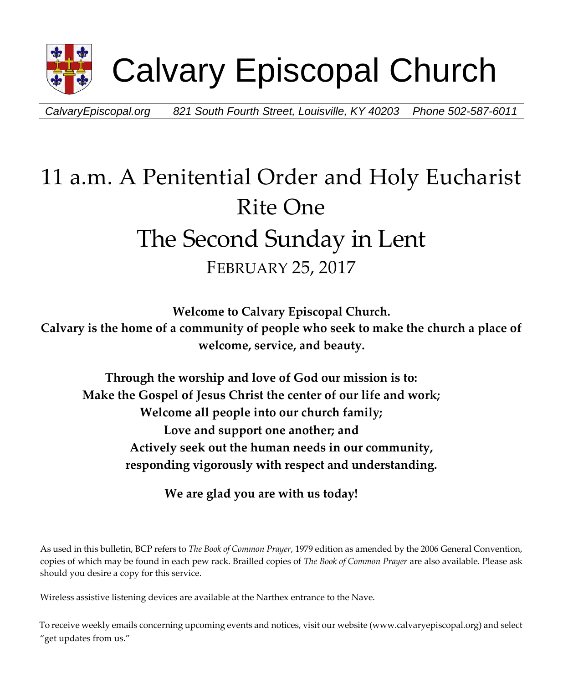

*CalvaryEpiscopal.org 821 South Fourth Street, Louisville, KY 40203 Phone 502-587-6011*

# 11 a.m. A Penitential Order and Holy Eucharist Rite One The Second Sunday in Lent FEBRUARY 25, 2017

**Welcome to Calvary Episcopal Church. Calvary is the home of a community of people who seek to make the church a place of welcome, service, and beauty.** 

**Through the worship and love of God our mission is to: Make the Gospel of Jesus Christ the center of our life and work; Welcome all people into our church family; Love and support one another; and Actively seek out the human needs in our community, responding vigorously with respect and understanding.**

**We are glad you are with us today!** 

As used in this bulletin, BCP refers to *The Book of Common Prayer*, 1979 edition as amended by the 2006 General Convention, copies of which may be found in each pew rack. Brailled copies of *The Book of Common Prayer* are also available. Please ask should you desire a copy for this service.

Wireless assistive listening devices are available at the Narthex entrance to the Nave.

To receive weekly emails concerning upcoming events and notices, visit our website (www.calvaryepiscopal.org) and select "get updates from us."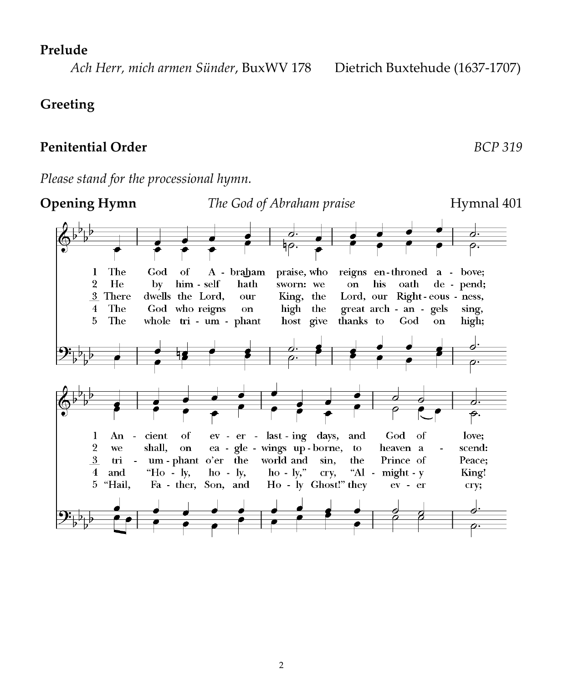#### **Prelude**

 *Ach Herr, mich armen Sünder*, BuxWV 178 Dietrich Buxtehude (1637-1707)

### **Greeting**

# **Penitential Order** *BCP 319*

**Opening Hymn** *The God of Abraham praise* **Hymnal 401** ∽. hо. o. The **God** of A - braham praise, who reigns en-throned a - bove;  $\mathbf{1}$  $\overline{2}$ He by  $him - self$ hath sworn: we on his oath de - pend; 3 There Lord, our Right-eous - ness, dwells the Lord, our King, the  $\overline{4}$ The God who reigns on high the great arch - an - gels sing,  $\overline{5}$ The whole tri - um - phant thanks to host give  $_{\rm God}$ on. high; <del>₽</del>.  $\mathbf{I}$ An  $\sim$ cient of ev - er - last - ing days, and God of love:  $\overline{2}$ ea - gle - wings up-borne, we shall, on to heaven a scend:  $\overline{3}$ um-phant o'er the world and tri  $\mathbb{Z}$ sin, the Prince of Peace:  $\overline{4}$ and "Ho -  $\mathbf{I}y$ ,  $ho - ly$ ,  $ho - ly,$ " cry, "Al - might -  $y$ King! 5 "Hail, Fa - ther, Son, and Ho - ly Ghost!" they  $ev - er$ cry;

*Please stand for the processional hymn.*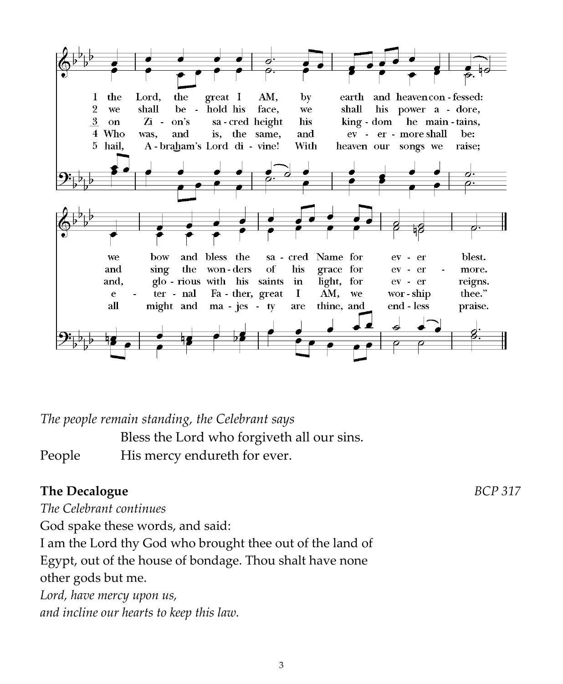

*The people remain standing, the Celebrant says*

Bless the Lord who forgiveth all our sins. People His mercy endureth for ever.

# **The Decalogue** *BCP* 317

*The Celebrant continues*

God spake these words, and said:

I am the Lord thy God who brought thee out of the land of Egypt, out of the house of bondage. Thou shalt have none other gods but me.

*Lord, have mercy upon us, and incline our hearts to keep this law.*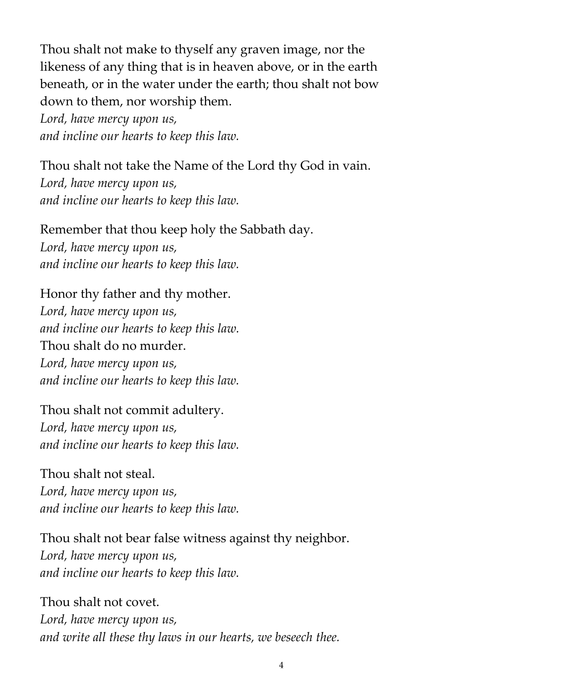Thou shalt not make to thyself any graven image, nor the likeness of any thing that is in heaven above, or in the earth beneath, or in the water under the earth; thou shalt not bow down to them, nor worship them.

*Lord, have mercy upon us, and incline our hearts to keep this law.*

Thou shalt not take the Name of the Lord thy God in vain. *Lord, have mercy upon us, and incline our hearts to keep this law.*

Remember that thou keep holy the Sabbath day.

*Lord, have mercy upon us, and incline our hearts to keep this law.*

Honor thy father and thy mother.

*Lord, have mercy upon us, and incline our hearts to keep this law.* Thou shalt do no murder. *Lord, have mercy upon us, and incline our hearts to keep this law.*

Thou shalt not commit adultery. *Lord, have mercy upon us, and incline our hearts to keep this law.*

Thou shalt not steal. *Lord, have mercy upon us, and incline our hearts to keep this law.*

Thou shalt not bear false witness against thy neighbor. *Lord, have mercy upon us, and incline our hearts to keep this law.*

Thou shalt not covet. *Lord, have mercy upon us, and write all these thy laws in our hearts, we beseech thee.*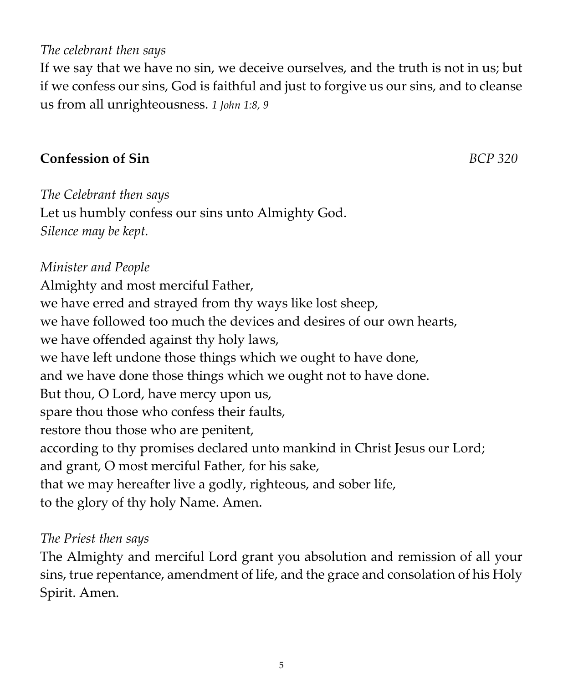#### 5

#### *The celebrant then says*

If we say that we have no sin, we deceive ourselves, and the truth is not in us; but if we confess our sins, God is faithful and just to forgive us our sins, and to cleanse us from all unrighteousness. *1 John 1:8, 9*

#### **Confession of Sin** *BCP 320*

*The Celebrant then says* Let us humbly confess our sins unto Almighty God. *Silence may be kept.*

#### *Minister and People*

Almighty and most merciful Father, we have erred and strayed from thy ways like lost sheep, we have followed too much the devices and desires of our own hearts, we have offended against thy holy laws, we have left undone those things which we ought to have done, and we have done those things which we ought not to have done. But thou, O Lord, have mercy upon us, spare thou those who confess their faults, restore thou those who are penitent, according to thy promises declared unto mankind in Christ Jesus our Lord; and grant, O most merciful Father, for his sake, that we may hereafter live a godly, righteous, and sober life, to the glory of thy holy Name. Amen.

#### *The Priest then says*

The Almighty and merciful Lord grant you absolution and remission of all your sins, true repentance, amendment of life, and the grace and consolation of his Holy Spirit. Amen.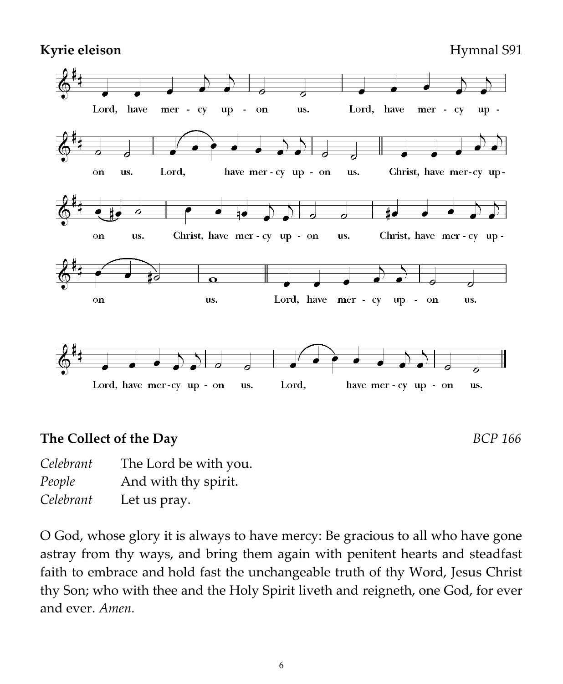Kyrie eleison **Hymnal S91** 



### **The Collect of the Day** *BCP 166*

| Celebrant | The Lord be with you. |
|-----------|-----------------------|
| People    | And with thy spirit.  |
| Celebrant | Let us pray.          |

O God, whose glory it is always to have mercy: Be gracious to all who have gone astray from thy ways, and bring them again with penitent hearts and steadfast faith to embrace and hold fast the unchangeable truth of thy Word, Jesus Christ thy Son; who with thee and the Holy Spirit liveth and reigneth, one God, for ever and ever. *Amen.*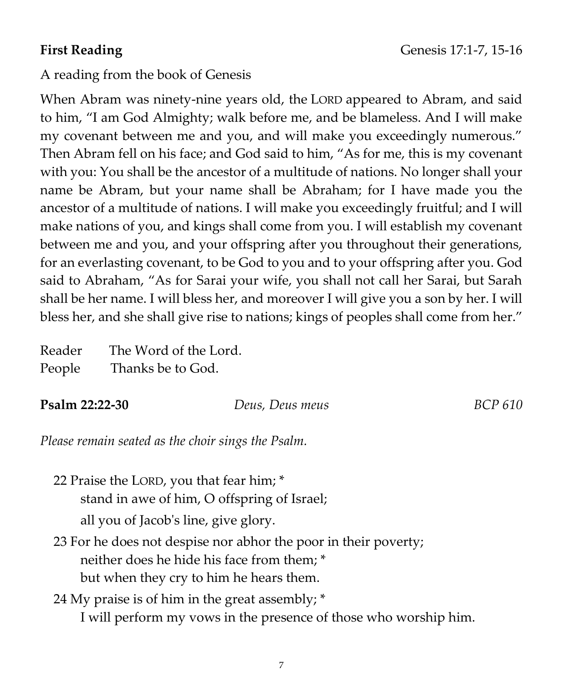### A reading from the book of Genesis

When Abram was ninety-nine years old, the LORD appeared to Abram, and said to him, "I am God Almighty; walk before me, and be blameless. And I will make my covenant between me and you, and will make you exceedingly numerous." Then Abram fell on his face; and God said to him, "As for me, this is my covenant with you: You shall be the ancestor of a multitude of nations. No longer shall your name be Abram, but your name shall be Abraham; for I have made you the ancestor of a multitude of nations. I will make you exceedingly fruitful; and I will make nations of you, and kings shall come from you. I will establish my covenant between me and you, and your offspring after you throughout their generations, for an everlasting covenant, to be God to you and to your offspring after you. God said to Abraham, "As for Sarai your wife, you shall not call her Sarai, but Sarah shall be her name. I will bless her, and moreover I will give you a son by her. I will bless her, and she shall give rise to nations; kings of peoples shall come from her."

| Reader | The Word of the Lord. |
|--------|-----------------------|
| People | Thanks be to God.     |

#### **Psalm 22:22-30** *Deus, Deus meus BCP 610*

*Please remain seated as the choir sings the Psalm.*

- 22 Praise the LORD, you that fear him; \* stand in awe of him, O offspring of Israel; all you of Jacob's line, give glory.
- 23 For he does not despise nor abhor the poor in their poverty; neither does he hide his face from them; \* but when they cry to him he hears them.

# 24 My praise is of him in the great assembly; \* I will perform my vows in the presence of those who worship him.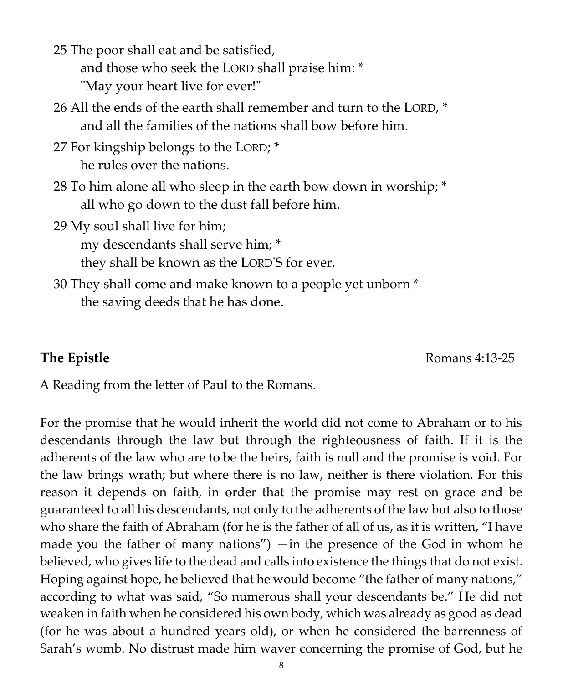25 The poor shall eat and be satisfied, and those who seek the LORD shall praise him: \* "May your heart live for ever!"

- 26 All the ends of the earth shall remember and turn to the LORD, \* and all the families of the nations shall bow before him.
- 27 For kingship belongs to the LORD; \* he rules over the nations.
- 28 To him alone all who sleep in the earth bow down in worship; \* all who go down to the dust fall before him.

29 My soul shall live for him; my descendants shall serve him; \*

they shall be known as the LORD'S for ever.

30 They shall come and make known to a people yet unborn \* the saving deeds that he has done.

**The Epistle** Romans 4:13-25

A Reading from the letter of Paul to the Romans.

For the promise that he would inherit the world did not come to Abraham or to his descendants through the law but through the righteousness of faith. If it is the adherents of the law who are to be the heirs, faith is null and the promise is void. For the law brings wrath; but where there is no law, neither is there violation. For this reason it depends on faith, in order that the promise may rest on grace and be guaranteed to all his descendants, not only to the adherents of the law but also to those who share the faith of Abraham (for he is the father of all of us, as it is written, "I have made you the father of many nations") —in the presence of the God in whom he believed, who gives life to the dead and calls into existence the things that do not exist. Hoping against hope, he believed that he would become "the father of many nations," according to what was said, "So numerous shall your descendants be." He did not weaken in faith when he considered his own body, which was already as good as dead (for he was about a hundred years old), or when he considered the barrenness of Sarah's womb. No distrust made him waver concerning the promise of God, but he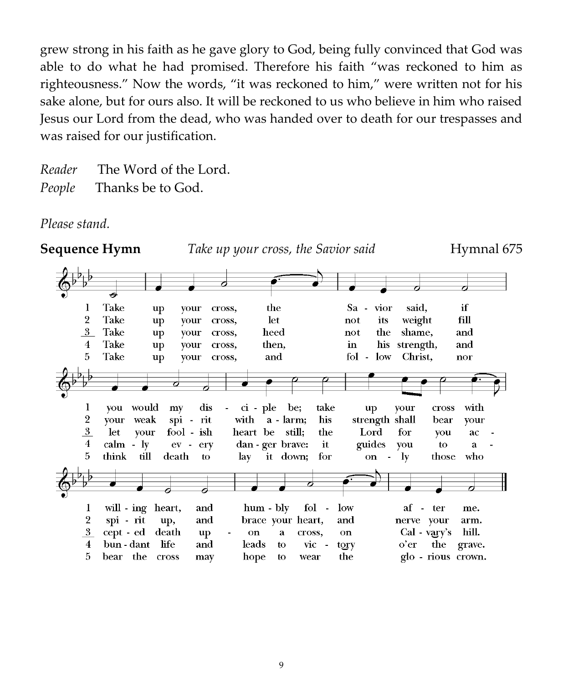grew strong in his faith as he gave glory to God, being fully convinced that God was able to do what he had promised. Therefore his faith "was reckoned to him as righteousness." Now the words, "it was reckoned to him," were written not for his sake alone, but for ours also. It will be reckoned to us who believe in him who raised Jesus our Lord from the dead, who was handed over to death for our trespasses and was raised for our justification.

*Reader* The Word of the Lord. *People* Thanks be to God.

*Please stand.*

**Sequence Hymn** *Take up your cross, the Savior said* **Hymnal 675** ᆋ Take the if 1 up your cross, Sa vior said.  $\overline{2}$ Take let its weight fill up vour cross, not  $3$ Take heed not the shame, up your cross, and Take then, his strength,  $\overline{4}$ in and up your cross,  $5^{\circ}$ Take and fol - low Christ, your cross, up nor  $\bf{l}$ vou would  $\dot{c}$  i - ple be: take cross with  $m<sub>V</sub>$ dis vour **up**  $\overline{2}$ your weak spi rit with  $a - \text{larm}$ ; his strength shall bear your  $\overline{3}$ let your fool - ish heart be still; the Lord for you ac  $\overline{4}$ calm - lv  $ev$ erv dan - ger brave: it guides vou to. ā who 5 think till death  $\mathbf{t}$ lay it down; for on - $1v$ those will - ing heart, hum - bly 1 and fol  $low$ af - ter me.  $\overline{2}$ spi - rit and brace your heart, nerve your up, and arm.  $3$ cept - ed death cross,  $Cal - vary's$ hill. up on a on  $\overline{4}$ bun - dant **life** and leads  $vic$ o'er the grave. to tory bear the cross  $5$ may hope to wear the glo - rious crown.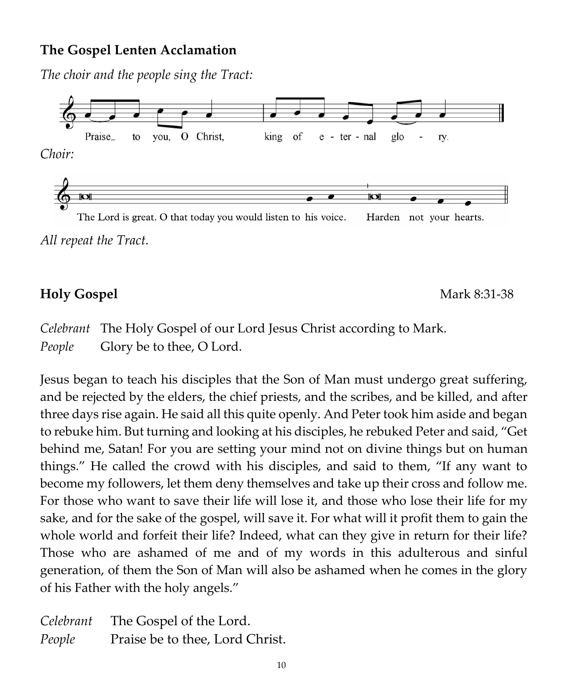### **The Gospel Lenten Acclamation**

*The choir and the people sing the Tract:*



*All repeat the Tract.*

# **Holy Gospel** Mark 8:31-38

*Celebrant* The Holy Gospel of our Lord Jesus Christ according to Mark. *People* Glory be to thee, O Lord.

Jesus began to teach his disciples that the Son of Man must undergo great suffering, and be rejected by the elders, the chief priests, and the scribes, and be killed, and after three days rise again. He said all this quite openly. And Peter took him aside and began to rebuke him. But turning and looking at his disciples, he rebuked Peter and said, "Get behind me, Satan! For you are setting your mind not on divine things but on human things." He called the crowd with his disciples, and said to them, "If any want to become my followers, let them deny themselves and take up their cross and follow me. For those who want to save their life will lose it, and those who lose their life for my sake, and for the sake of the gospel, will save it. For what will it profit them to gain the whole world and forfeit their life? Indeed, what can they give in return for their life? Those who are ashamed of me and of my words in this adulterous and sinful generation, of them the Son of Man will also be ashamed when he comes in the glory of his Father with the holy angels."

| Celebrant | The Gospel of the Lord.         |
|-----------|---------------------------------|
| People    | Praise be to thee, Lord Christ. |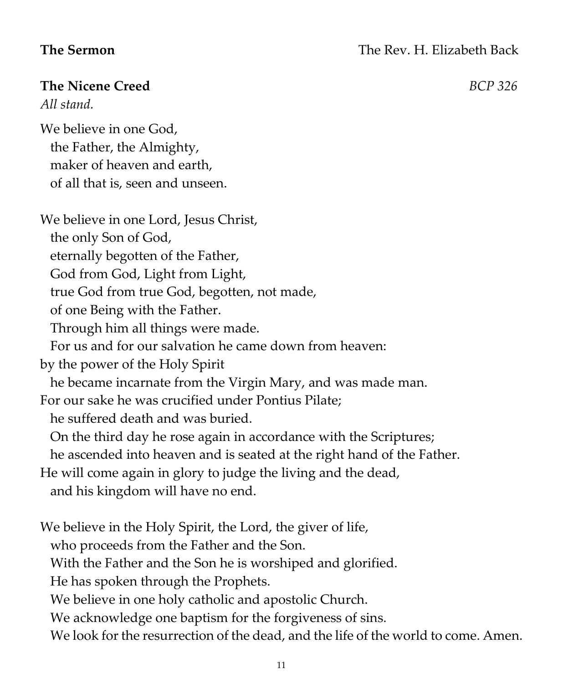### **The Nicene Creed** *BCP 326*

*All stand.*

We believe in one God, the Father, the Almighty, maker of heaven and earth, of all that is, seen and unseen.

We believe in one Lord, Jesus Christ, the only Son of God, eternally begotten of the Father, God from God, Light from Light, true God from true God, begotten, not made, of one Being with the Father. Through him all things were made. For us and for our salvation he came down from heaven: by the power of the Holy Spirit he became incarnate from the Virgin Mary, and was made man. For our sake he was crucified under Pontius Pilate; he suffered death and was buried. On the third day he rose again in accordance with the Scriptures; he ascended into heaven and is seated at the right hand of the Father. He will come again in glory to judge the living and the dead, and his kingdom will have no end. We believe in the Holy Spirit, the Lord, the giver of life, who proceeds from the Father and the Son. With the Father and the Son he is worshiped and glorified. He has spoken through the Prophets. We believe in one holy catholic and apostolic Church. We acknowledge one baptism for the forgiveness of sins. We look for the resurrection of the dead, and the life of the world to come. Amen.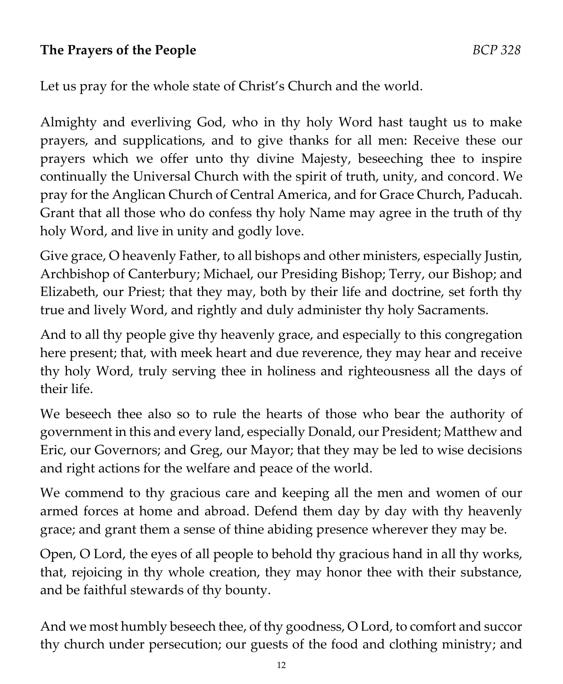# **The Prayers of the People** *BCP 328*

Let us pray for the whole state of Christ's Church and the world.

Almighty and everliving God, who in thy holy Word hast taught us to make prayers, and supplications, and to give thanks for all men: Receive these our prayers which we offer unto thy divine Majesty, beseeching thee to inspire continually the Universal Church with the spirit of truth, unity, and concord. We pray for the Anglican Church of Central America, and for Grace Church, Paducah. Grant that all those who do confess thy holy Name may agree in the truth of thy holy Word, and live in unity and godly love.

Give grace, O heavenly Father, to all bishops and other ministers, especially Justin, Archbishop of Canterbury; Michael, our Presiding Bishop; Terry, our Bishop; and Elizabeth, our Priest; that they may, both by their life and doctrine, set forth thy true and lively Word, and rightly and duly administer thy holy Sacraments.

And to all thy people give thy heavenly grace, and especially to this congregation here present; that, with meek heart and due reverence, they may hear and receive thy holy Word, truly serving thee in holiness and righteousness all the days of their life.

We beseech thee also so to rule the hearts of those who bear the authority of government in this and every land, especially Donald, our President; Matthew and Eric, our Governors; and Greg, our Mayor; that they may be led to wise decisions and right actions for the welfare and peace of the world.

We commend to thy gracious care and keeping all the men and women of our armed forces at home and abroad. Defend them day by day with thy heavenly grace; and grant them a sense of thine abiding presence wherever they may be.

Open, O Lord, the eyes of all people to behold thy gracious hand in all thy works, that, rejoicing in thy whole creation, they may honor thee with their substance, and be faithful stewards of thy bounty.

And we most humbly beseech thee, of thy goodness, O Lord, to comfort and succor thy church under persecution; our guests of the food and clothing ministry; and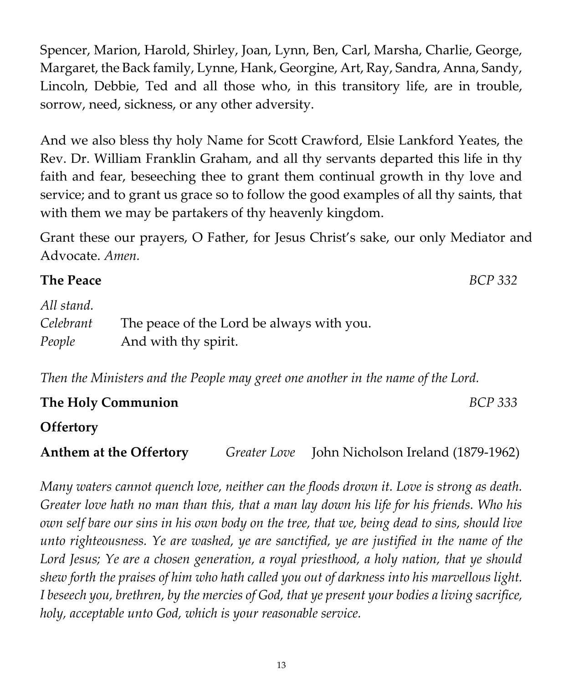Spencer, Marion, Harold, Shirley, Joan, Lynn, Ben, Carl, Marsha, Charlie, George, Margaret, the Back family, Lynne, Hank, Georgine, Art, Ray, Sandra, Anna, Sandy, Lincoln, Debbie, Ted and all those who, in this transitory life, are in trouble, sorrow, need, sickness, or any other adversity.

And we also bless thy holy Name for Scott Crawford, Elsie Lankford Yeates, the Rev. Dr. William Franklin Graham, and all thy servants departed this life in thy faith and fear, beseeching thee to grant them continual growth in thy love and service; and to grant us grace so to follow the good examples of all thy saints, that with them we may be partakers of thy heavenly kingdom.

Grant these our prayers, O Father, for Jesus Christ's sake, our only Mediator and Advocate. *Amen.*

| <b>The Peace</b>                  |                                                                   | BCP 332 |
|-----------------------------------|-------------------------------------------------------------------|---------|
| All stand.<br>Celebrant<br>People | The peace of the Lord be always with you.<br>And with thy spirit. |         |
|                                   |                                                                   |         |

*Then the Ministers and the People may greet one another in the name of the Lord.*

| The Holy Communion                                                                                                                                                                                                                                                                               |  |                                                                                                 | BCP 333 |
|--------------------------------------------------------------------------------------------------------------------------------------------------------------------------------------------------------------------------------------------------------------------------------------------------|--|-------------------------------------------------------------------------------------------------|---------|
| <b>Offertory</b>                                                                                                                                                                                                                                                                                 |  |                                                                                                 |         |
| $\mathbf{A}$ and $\mathbf{A}$ and $\mathbf{A}$ and $\mathbf{A}$ and $\mathbf{A}$ and $\mathbf{A}$ and $\mathbf{A}$ and $\mathbf{A}$ and $\mathbf{A}$ and $\mathbf{A}$ and $\mathbf{A}$ and $\mathbf{A}$ and $\mathbf{A}$ and $\mathbf{A}$ and $\mathbf{A}$ and $\mathbf{A}$ and $\mathbf{A}$ and |  | $C_1$ $I_2$ $I_3$ $I_1$ $I_2$ $I_3$ $I_4$ $I_5$ $I_1$ $I_2$ $I_3$ $I_4$ $I_5$ $I_6$ $I_7$ $I_8$ |         |

**Anthem at the Offertory** *Greater Love*John Nicholson Ireland (1879-1962)

*Many waters cannot quench love, neither can the floods drown it. Love is strong as death. Greater love hath no man than this, that a man lay down his life for his friends. Who his own self bare our sins in his own body on the tree, that we, being dead to sins, should live unto righteousness. Ye are washed, ye are sanctified, ye are justified in the name of the Lord Jesus; Ye are a chosen generation, a royal priesthood, a holy nation, that ye should shew forth the praises of him who hath called you out of darkness into his marvellous light. I beseech you, brethren, by the mercies of God, that ye present your bodies a living sacrifice, holy, acceptable unto God, which is your reasonable service.*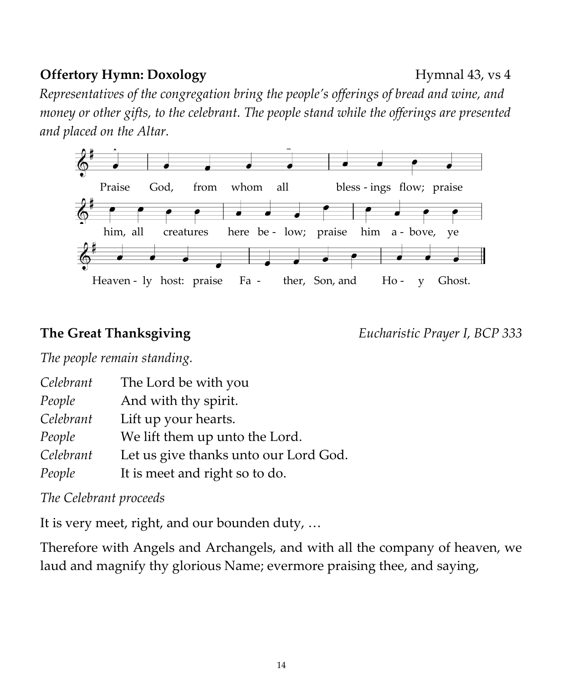#### *People* We lift them up unto the Lord.

*Celebrant* Let us give thanks unto our Lord God.

*People* It is meet and right so to do.

#### *The Celebrant proceeds*

It is very meet, right, and our bounden duty, …

Therefore with Angels and Archangels, and with all the company of heaven, we laud and magnify thy glorious Name; evermore praising thee, and saying,

14

# **Offertory Hymn: Doxology** Hymnal 43, vs 4

*Representatives of the congregation bring the people's offerings of bread and wine, and money or other gifts, to the celebrant. The people stand while the offerings are presented and placed on the Altar.* 



*The people remain standing.*

*Celebrant* The Lord be with you *People* And with thy spirit. *Celebrant* Lift up your hearts.

**The Great Thanksgiving** *Eucharistic Prayer I, BCP 333*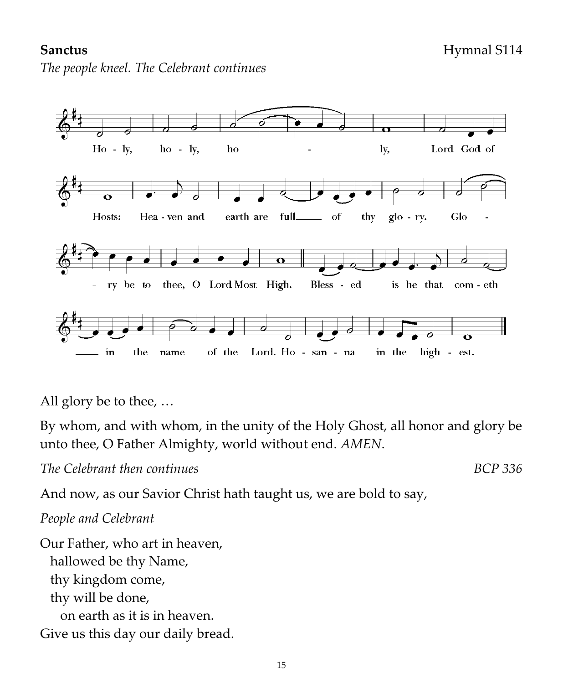### **Sanctus** Hymnal S114

*The people kneel. The Celebrant continues*



All glory be to thee, …

By whom, and with whom, in the unity of the Holy Ghost, all honor and glory be unto thee, O Father Almighty, world without end. *AMEN*.

*The Celebrant then continues BCP 336*

And now, as our Savior Christ hath taught us, we are bold to say,

#### *People and Celebrant*

Our Father, who art in heaven, hallowed be thy Name, thy kingdom come, thy will be done, on earth as it is in heaven. Give us this day our daily bread.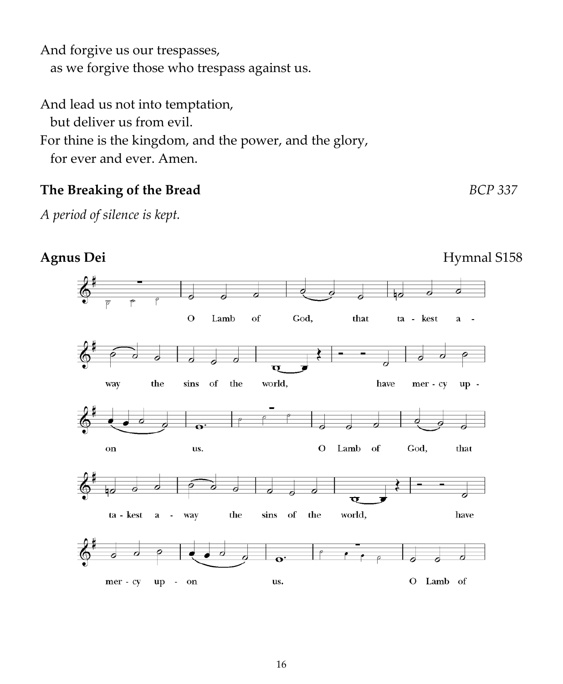And forgive us our trespasses, as we forgive those who trespass against us.

And lead us not into temptation, but deliver us from evil. For thine is the kingdom, and the power, and the glory, for ever and ever. Amen.

# **The Breaking of the Bread** *BCP 337*

*A period of silence is kept.*

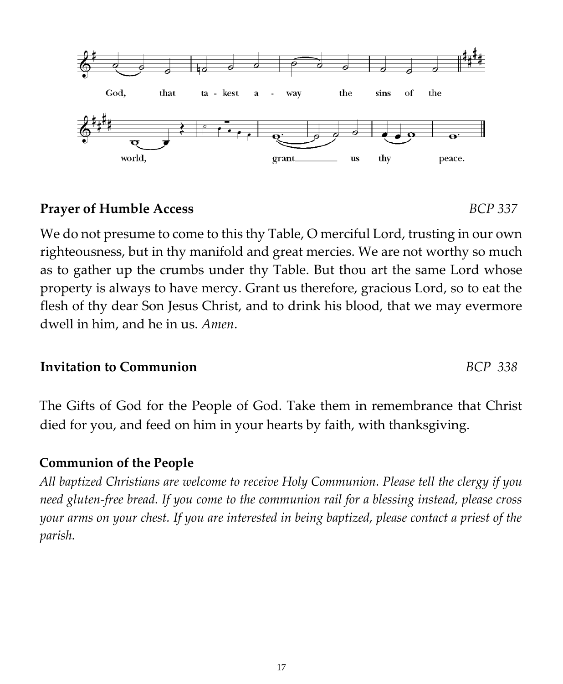### **Prayer of Humble Access** *BCP 337*

We do not presume to come to this thy Table, O merciful Lord, trusting in our own righteousness, but in thy manifold and great mercies. We are not worthy so much as to gather up the crumbs under thy Table. But thou art the same Lord whose property is always to have mercy. Grant us therefore, gracious Lord, so to eat the flesh of thy dear Son Jesus Christ, and to drink his blood, that we may evermore dwell in him, and he in us. *Amen*.

### **Invitation to Communion** *BCP 338*

The Gifts of God for the People of God. Take them in remembrance that Christ died for you, and feed on him in your hearts by faith, with thanksgiving.

# **Communion of the People**

*All baptized Christians are welcome to receive Holy Communion. Please tell the clergy if you need gluten-free bread. If you come to the communion rail for a blessing instead, please cross your arms on your chest. If you are interested in being baptized, please contact a priest of the parish.* 

God. that ta - kest the sins of the way a world, grant us thy peace.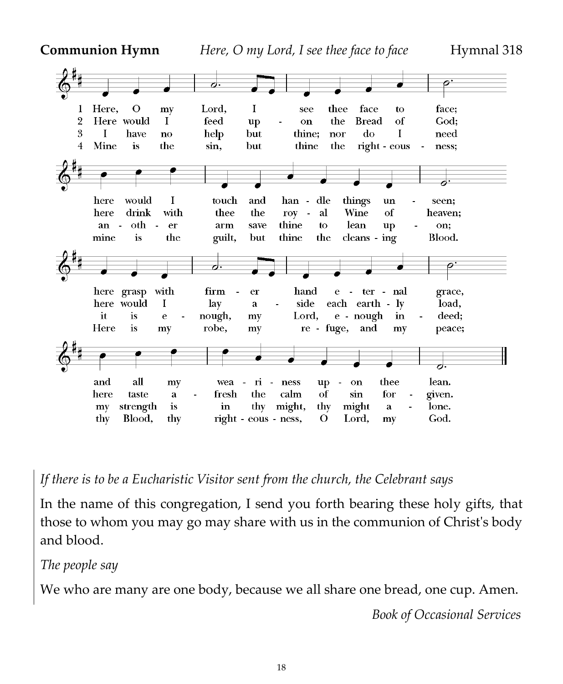**Communion Hymn** *Here, O my Lord, I see thee face to face* Hymnal 318



*If there is to be a Eucharistic Visitor sent from the church, the Celebrant says* 

In the name of this congregation, I send you forth bearing these holy gifts, that those to whom you may go may share with us in the communion of Christ's body and blood.

*The people say*

We who are many are one body, because we all share one bread, one cup. Amen.

 *Book of Occasional Services*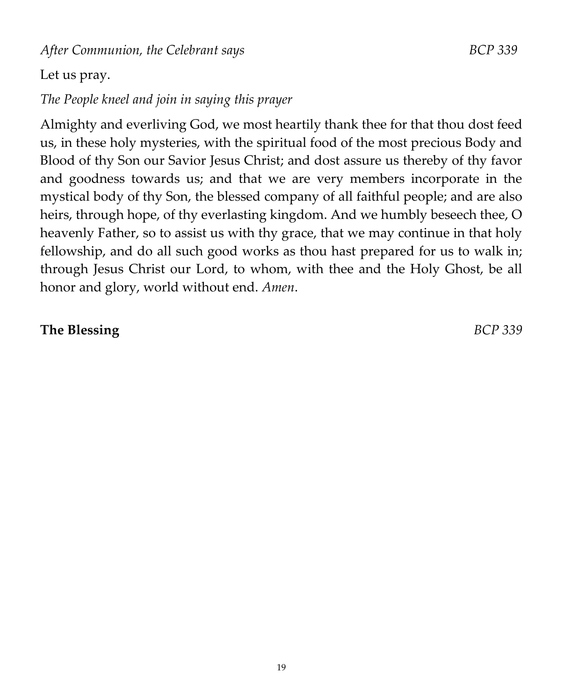After Communion, the Celebrant says **BCP** 339

# Let us pray.

# *The People kneel and join in saying this prayer*

Almighty and everliving God, we most heartily thank thee for that thou dost feed us, in these holy mysteries, with the spiritual food of the most precious Body and Blood of thy Son our Savior Jesus Christ; and dost assure us thereby of thy favor and goodness towards us; and that we are very members incorporate in the mystical body of thy Son, the blessed company of all faithful people; and are also heirs, through hope, of thy everlasting kingdom. And we humbly beseech thee, O heavenly Father, so to assist us with thy grace, that we may continue in that holy fellowship, and do all such good works as thou hast prepared for us to walk in; through Jesus Christ our Lord, to whom, with thee and the Holy Ghost, be all honor and glory, world without end. *Amen*.

### **The Blessing** *BCP 339*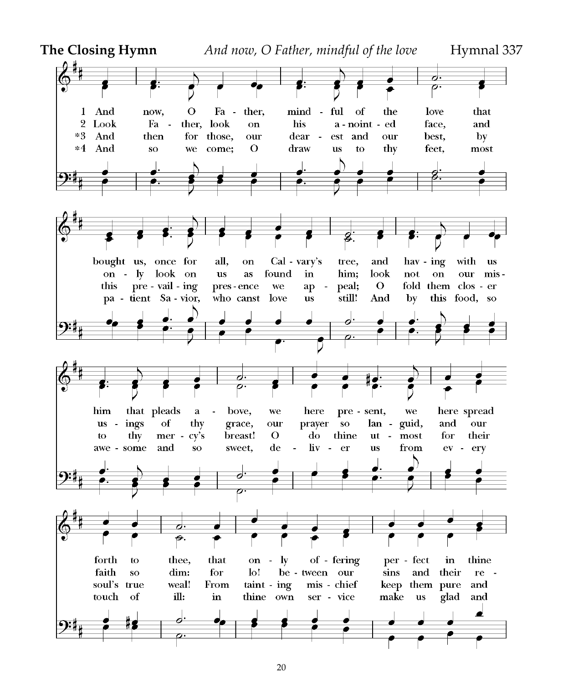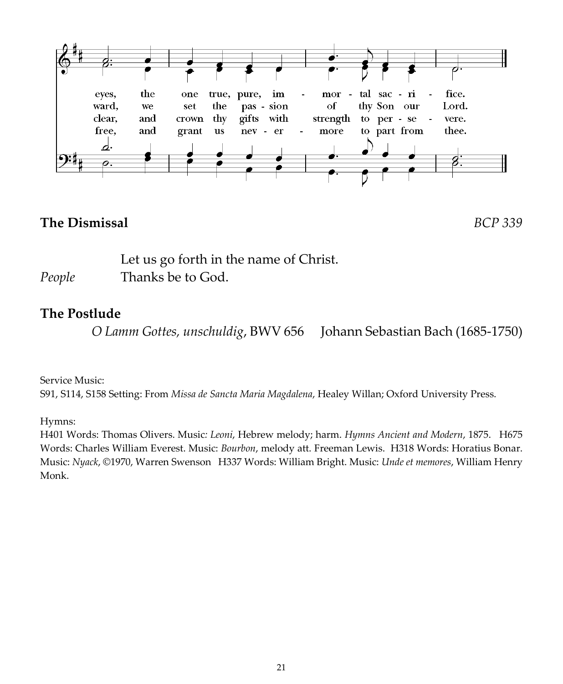

#### **The Dismissal** *BCP 339*

Let us go forth in the name of Christ. *People* Thanks be to God.

### **The Postlude**

 *O Lamm Gottes, unschuldig*, BWV 656 Johann Sebastian Bach (1685-1750)

Service Music:

S91, S114, S158 Setting: From *Missa de Sancta Maria Magdalena*, Healey Willan; Oxford University Press.

Hymns:

H401 Words: Thomas Olivers. Music*: Leoni*, Hebrew melody; harm. *Hymns Ancient and Modern*, 1875. H675 Words: Charles William Everest. Music: *Bourbon*, melody att. Freeman Lewis. H318 Words: Horatius Bonar. Music: *Nyack*, ©1970, Warren Swenson H337 Words: William Bright. Music: *Unde et memores*, William Henry Monk.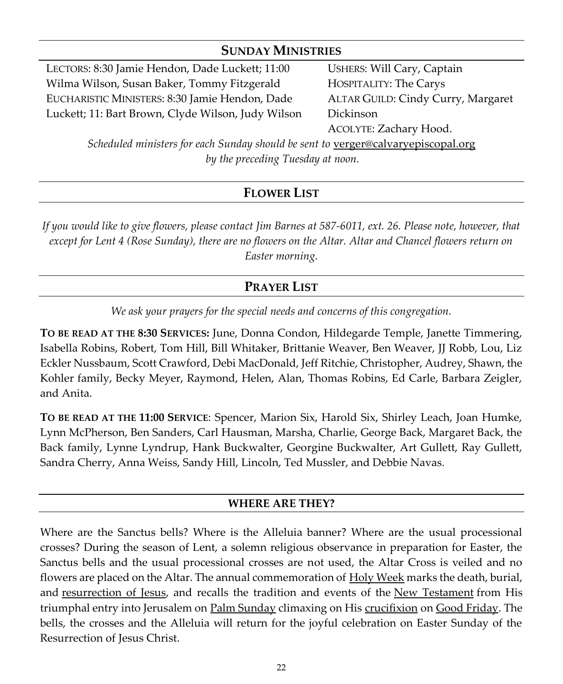#### **SUNDAY MINISTRIES**

LECTORS: 8:30 Jamie Hendon, Dade Luckett; 11:00 Wilma Wilson, Susan Baker, Tommy Fitzgerald EUCHARISTIC MINISTERS: 8:30 Jamie Hendon, Dade Luckett; 11: Bart Brown, Clyde Wilson, Judy Wilson USHERS: Will Cary, Captain HOSPITALITY: The Carys ALTAR GUILD: Cindy Curry, Margaret Dickinson ACOLYTE: Zachary Hood.

*Scheduled ministers for each Sunday should be sent to [verger@calvaryepiscopal.org](mailto:verger@calvaryepiscopal.org) by the preceding Tuesday at noon.*

#### **FLOWER LIST**

*If you would like to give flowers, please contact Jim Barnes at 587-6011, ext. 26. Please note, however, that except for Lent 4 (Rose Sunday), there are no flowers on the Altar. Altar and Chancel flowers return on Easter morning.*

#### **PRAYER LIST**

*We ask your prayers for the special needs and concerns of this congregation.*

**TO BE READ AT THE 8:30 SERVICES:** June, Donna Condon, Hildegarde Temple, Janette Timmering, Isabella Robins, Robert, Tom Hill, Bill Whitaker, Brittanie Weaver, Ben Weaver, JJ Robb, Lou, Liz Eckler Nussbaum, Scott Crawford, Debi MacDonald, Jeff Ritchie, Christopher, Audrey, Shawn, the Kohler family, Becky Meyer, Raymond, Helen, Alan, Thomas Robins, Ed Carle, Barbara Zeigler, and Anita.

**TO BE READ AT THE 11:00 SERVICE**: Spencer, Marion Six, Harold Six, Shirley Leach, Joan Humke, Lynn McPherson, Ben Sanders, Carl Hausman, Marsha, Charlie, George Back, Margaret Back, the Back family, Lynne Lyndrup, Hank Buckwalter, Georgine Buckwalter, Art Gullett, Ray Gullett, Sandra Cherry, Anna Weiss, Sandy Hill, Lincoln, Ted Mussler, and Debbie Navas.

#### **WHERE ARE THEY?**

Where are the Sanctus bells? Where is the Alleluia banner? Where are the usual processional crosses? During the season of Lent, a solemn religious observance in preparation for Easter, the Sanctus bells and the usual processional crosses are not used, the Altar Cross is veiled and no flowers are placed on the Altar. The annual commemoration of [Holy Week](https://en.wikipedia.org/wiki/Holy_Week) marks the death, burial, and [resurrection of Jesus,](https://en.wikipedia.org/wiki/Resurrection_of_Jesus) and recalls the tradition and events of the [New Testament](https://en.wikipedia.org/wiki/New_Testament) from His triumphal entry into Jerusalem on [Palm Sunday](https://en.wikipedia.org/wiki/Palm_Sunday) climaxing on His [crucifixion](https://en.wikipedia.org/wiki/Crucifixion) on [Good Friday.](https://en.wikipedia.org/wiki/Good_Friday) The bells, the crosses and the Alleluia will return for the joyful celebration on Easter Sunday of the Resurrection of Jesus Christ.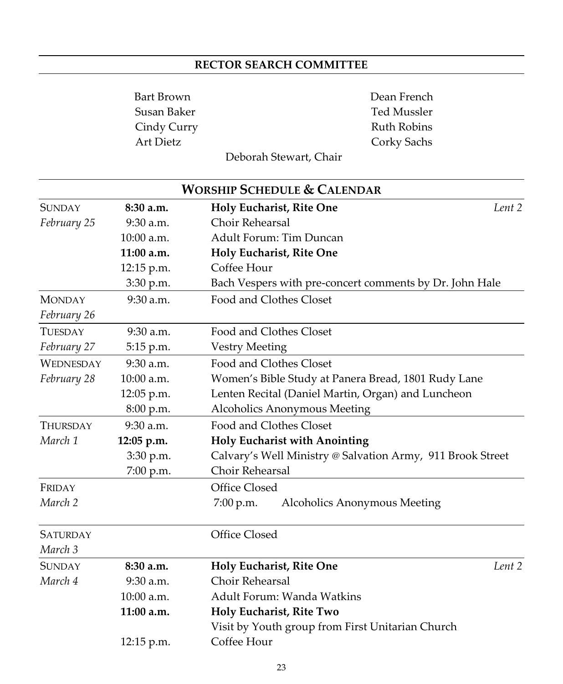#### **RECTOR SEARCH COMMITTEE**

Bart Brown Dean French Susan Baker Ted Mussler Cindy Curry **Ruth Robins** Art Dietz Corky Sachs

Deborah Stewart, Chair

|                  |              | <b>WORSHIP SCHEDULE &amp; CALENDAR</b>                     |  |
|------------------|--------------|------------------------------------------------------------|--|
| <b>SUNDAY</b>    | 8:30a.m.     | Lent 2<br>Holy Eucharist, Rite One                         |  |
| February 25      | 9:30 a.m.    | Choir Rehearsal                                            |  |
|                  | $10:00$ a.m. | Adult Forum: Tim Duncan                                    |  |
|                  | $11:00$ a.m. | Holy Eucharist, Rite One                                   |  |
|                  | 12:15 p.m.   | Coffee Hour                                                |  |
|                  | 3:30 p.m.    | Bach Vespers with pre-concert comments by Dr. John Hale    |  |
| <b>MONDAY</b>    | 9:30 a.m.    | Food and Clothes Closet                                    |  |
| February 26      |              |                                                            |  |
| TUESDAY          | $9:30$ a.m.  | Food and Clothes Closet                                    |  |
| February 27      | 5:15 p.m.    | <b>Vestry Meeting</b>                                      |  |
| <b>WEDNESDAY</b> | $9:30$ a.m.  | Food and Clothes Closet                                    |  |
| February 28      | $10:00$ a.m. | Women's Bible Study at Panera Bread, 1801 Rudy Lane        |  |
|                  | 12:05 p.m.   | Lenten Recital (Daniel Martin, Organ) and Luncheon         |  |
|                  | 8:00 p.m.    | Alcoholics Anonymous Meeting                               |  |
| <b>THURSDAY</b>  | $9:30$ a.m.  | Food and Clothes Closet                                    |  |
| March 1          | 12:05 p.m.   | <b>Holy Eucharist with Anointing</b>                       |  |
|                  | 3:30 p.m.    | Calvary's Well Ministry @ Salvation Army, 911 Brook Street |  |
|                  | 7:00 p.m.    | Choir Rehearsal                                            |  |
| FRIDAY           |              | Office Closed                                              |  |
| March 2          |              | Alcoholics Anonymous Meeting<br>7:00 p.m.                  |  |
| <b>SATURDAY</b>  |              | Office Closed                                              |  |
| March 3          |              |                                                            |  |
| <b>SUNDAY</b>    | 8:30 a.m.    | Holy Eucharist, Rite One<br>Lent 2                         |  |
| March 4          | $9:30$ a.m.  | Choir Rehearsal                                            |  |
| 10:00 a.m.       |              | Adult Forum: Wanda Watkins                                 |  |
|                  | $11:00$ a.m. | Holy Eucharist, Rite Two                                   |  |
|                  |              | Visit by Youth group from First Unitarian Church           |  |
|                  | 12:15 p.m.   | Coffee Hour                                                |  |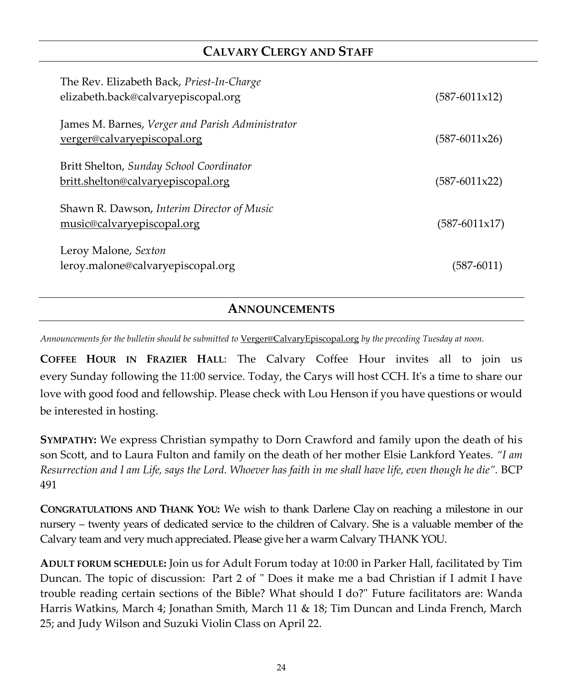#### **CALVARY CLERGY AND STAFF**

| The Rev. Elizabeth Back, Priest-In-Charge<br>elizabeth.back@calvaryepiscopal.org | (587-6011x12)   |
|----------------------------------------------------------------------------------|-----------------|
| James M. Barnes, Verger and Parish Administrator<br>verger@calvaryepiscopal.org  | (587-6011x26)   |
| Britt Shelton, Sunday School Coordinator<br>britt.shelton@calvaryepiscopal.org   | (587-6011x22)   |
| Shawn R. Dawson, Interim Director of Music<br>music@calvaryepiscopal.org         | $(587-6011x17)$ |
| Leroy Malone, Sexton<br>leroy.malone@calvaryepiscopal.org                        | $(587 - 6011)$  |

**ANNOUNCEMENTS**

*Announcements for the bulletin should be submitted to* [Verger@CalvaryEpiscopal.org](mailto:Verger@CalvaryEpiscopal.org) *by the preceding Tuesday at noon.* 

**COFFEE HOUR IN FRAZIER HALL**: The Calvary Coffee Hour invites all to join us every Sunday following the 11:00 service. Today, the Carys will host CCH. It's a time to share our love with good food and fellowship. Please check with Lou Henson if you have questions or would be interested in hosting.

**SYMPATHY:** We express Christian sympathy to Dorn Crawford and family upon the death of his son Scott, and to Laura Fulton and family on the death of her mother Elsie Lankford Yeates. *"I am Resurrection and I am Life, says the Lord. Whoever has faith in me shall have life, even though he die".* BCP 491

**CONGRATULATIONS AND THANK YOU:** We wish to thank Darlene Clay on reaching a milestone in our nursery – twenty years of dedicated service to the children of Calvary. She is a valuable member of the Calvary team and very much appreciated. Please give her a warm Calvary THANK YOU.

**ADULT FORUM SCHEDULE:** Join us for Adult Forum today at 10:00 in Parker Hall, facilitated by Tim Duncan. The topic of discussion: Part 2 of " Does it make me a bad Christian if I admit I have trouble reading certain sections of the Bible? What should I do?" Future facilitators are: Wanda Harris Watkins, March 4; Jonathan Smith, March 11 & 18; Tim Duncan and Linda French, March 25; and Judy Wilson and Suzuki Violin Class on April 22.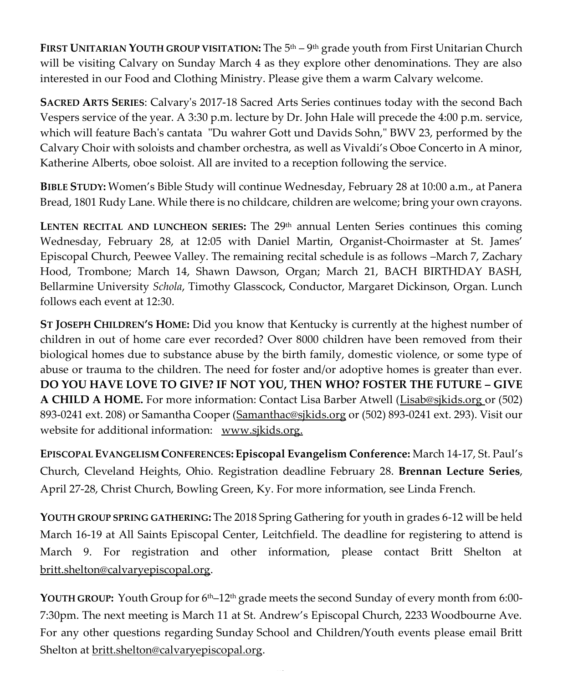**FIRST UNITARIAN YOUTH GROUP VISITATION:** The 5th – 9 th grade youth from First Unitarian Church will be visiting Calvary on Sunday March 4 as they explore other denominations. They are also interested in our Food and Clothing Ministry. Please give them a warm Calvary welcome.

**SACRED ARTS SERIES**: Calvary's 2017-18 Sacred Arts Series continues today with the second Bach Vespers service of the year. A 3:30 p.m. lecture by Dr. John Hale will precede the 4:00 p.m. service, which will feature Bach's cantata "Du wahrer Gott und Davids Sohn," BWV 23, performed by the Calvary Choir with soloists and chamber orchestra, as well as Vivaldi's Oboe Concerto in A minor, Katherine Alberts, oboe soloist. All are invited to a reception following the service.

**BIBLE STUDY:** Women's Bible Study will continue Wednesday, February 28 at 10:00 a.m., at Panera Bread, 1801 Rudy Lane. While there is no childcare, children are welcome; bring your own crayons.

LENTEN RECITAL AND LUNCHEON SERIES: The 29<sup>th</sup> annual Lenten Series continues this coming Wednesday, February 28, at 12:05 with Daniel Martin, Organist-Choirmaster at St. James' Episcopal Church, Peewee Valley. The remaining recital schedule is as follows –March 7, Zachary Hood, Trombone; March 14, Shawn Dawson, Organ; March 21, BACH BIRTHDAY BASH, Bellarmine University *Schola*, Timothy Glasscock, Conductor, Margaret Dickinson, Organ. Lunch follows each event at 12:30.

**ST JOSEPH CHILDREN'S HOME:** Did you know that Kentucky is currently at the highest number of children in out of home care ever recorded? Over 8000 children have been removed from their biological homes due to substance abuse by the birth family, domestic violence, or some type of abuse or trauma to the children. The need for foster and/or adoptive homes is greater than ever. **DO YOU HAVE LOVE TO GIVE? IF NOT YOU, THEN WHO? FOSTER THE FUTURE – GIVE A CHILD A HOME.** For more information: Contact Lisa Barber Atwell [\(Lisab@sjkids.org](mailto:Lisab@sjkids.org) or (502) 893-0241 ext. 208) or Samantha Cooper [\(Samanthac@sjkids.org](mailto:Samanthac@sjkids.org) or (502) 893-0241 ext. 293). Visit our website for additional information: [www.sjkids.org.](http://www.sjkids.org/)

**EPISCOPAL EVANGELISM CONFERENCES: Episcopal Evangelism Conference:** March 14-17, St. Paul's Church, Cleveland Heights, Ohio. Registration deadline February 28. **Brennan Lecture Series**, April 27-28, Christ Church, Bowling Green, Ky. For more information, see Linda French.

**YOUTH GROUP SPRING GATHERING:** The 2018 Spring Gathering for youth in grades 6-12 will be held March 16-19 at All Saints Episcopal Center, Leitchfield. The deadline for registering to attend is March 9. For registration and other information, please contact Britt Shelton at [britt.shelton@calvaryepiscopal.org.](mailto:britt.shelton@calvaryepiscopal.org)

**YOUTH GROUP:** Youth Group for 6th–12th grade meets the second Sunday of every month from 6:00- 7:30pm. The next meeting is March 11 at St. Andrew's Episcopal Church, 2233 Woodbourne Ave. For any other questions regarding Sunday School and Children/Youth events please email Britt Shelton at [britt.shelton@calvaryepiscopal.org.](mailto:britt.shelton@calvaryepiscopal.org)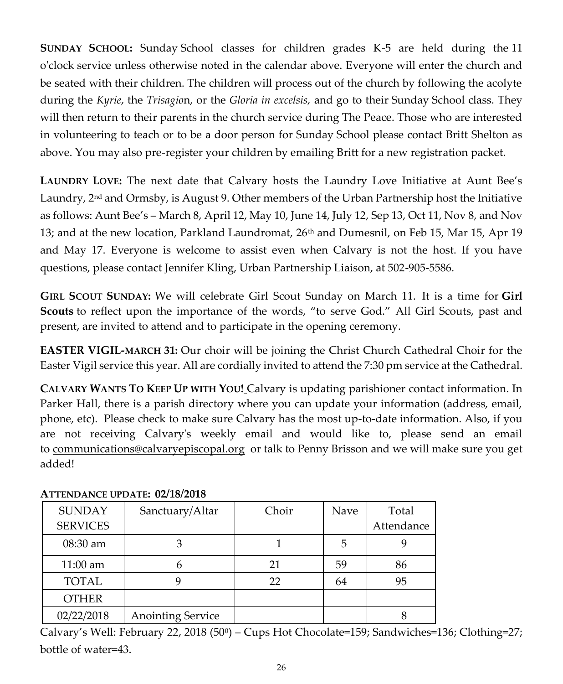**SUNDAY SCHOOL:** Sunday School classes for children grades K-5 are held during the 11 o'clock service unless otherwise noted in the calendar above. Everyone will enter the church and be seated with their children. The children will process out of the church by following the acolyte during the *Kyrie*, the *Trisagio*n, or the *Gloria in excelsis,* and go to their Sunday School class. They will then return to their parents in the church service during The Peace. Those who are interested in volunteering to teach or to be a door person for Sunday School please contact Britt Shelton as above. You may also pre-register your children by emailing Britt for a new registration packet.

**LAUNDRY LOVE:** The next date that Calvary hosts the Laundry Love Initiative at Aunt Bee's Laundry,  $2<sup>nd</sup>$  and Ormsby, is August 9. Other members of the Urban Partnership host the Initiative as follows: Aunt Bee's – March 8, April 12, May 10, June 14, July 12, Sep 13, Oct 11, Nov 8, and Nov 13; and at the new location, Parkland Laundromat, 26<sup>th</sup> and Dumesnil, on Feb 15, Mar 15, Apr 19 and May 17. Everyone is welcome to assist even when Calvary is not the host. If you have questions, please contact Jennifer Kling, Urban Partnership Liaison, at 502-905-5586.

**GIRL SCOUT SUNDAY:** We will celebrate Girl Scout Sunday on March 11. It is a time for **Girl Scouts** to reflect upon the importance of the words, "to serve God." All Girl Scouts, past and present, are invited to attend and to participate in the opening ceremony.

**EASTER VIGIL-MARCH 31:** Our choir will be joining the Christ Church Cathedral Choir for the Easter Vigil service this year. All are cordially invited to attend the 7:30 pm service at the Cathedral.

**CALVARY WANTS TO KEEP UP WITH YOU!** Calvary is updating parishioner contact information. In Parker Hall, there is a parish directory where you can update your information (address, email, phone, etc). Please check to make sure Calvary has the most up-to-date information. Also, if you are not receiving Calvary's weekly email and would like to, please send an email to [communications@calvaryepiscopal.org](mailto:communications@calvaryepiscopal.org) or talk to Penny Brisson and we will make sure you get added!

| <b>SUNDAY</b>   | Sanctuary/Altar          | Choir | Nave | Total      |
|-----------------|--------------------------|-------|------|------------|
| <b>SERVICES</b> |                          |       |      | Attendance |
| $08:30$ am      |                          |       |      |            |
| $11:00$ am      | n                        | 21    | 59   | 86         |
| <b>TOTAL</b>    |                          | 22    | 64   | 95         |
| <b>OTHER</b>    |                          |       |      |            |
| 02/22/2018      | <b>Anointing Service</b> |       |      |            |

#### **ATTENDANCE UPDATE: 02/18/2018**

Calvary's Well: February 22, 2018 (50<sup>0</sup> ) – Cups Hot Chocolate=159; Sandwiches=136; Clothing=27; bottle of water=43.